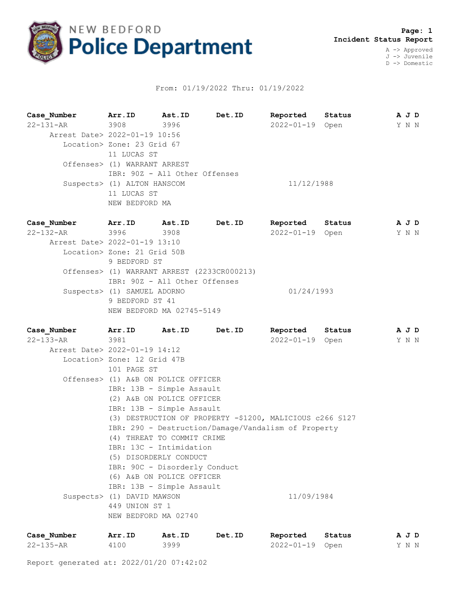

## From: 01/19/2022 Thru: 01/19/2022

**Case\_Number Arr.ID Ast.ID Det.ID Reported Status A J D** 22-131-AR 3908 3996 2022-01-19 Open Y N N Arrest Date> 2022-01-19 10:56 Location> Zone: 23 Grid 67 11 LUCAS ST Offenses> (1) WARRANT ARREST IBR: 90Z - All Other Offenses Suspects> (1) ALTON HANSCOM 11/12/1988 11 LUCAS ST NEW BEDFORD MA

**Case\_Number Arr.ID Ast.ID Det.ID Reported Status A J D** 22-132-AR 3996 3908 2022-01-19 Open Y N N Arrest Date> 2022-01-19 13:10 Location> Zone: 21 Grid 50B 9 BEDFORD ST Offenses> (1) WARRANT ARREST (2233CR000213) IBR: 90Z - All Other Offenses Suspects> (1) SAMUEL ADORNO 01/24/1993 9 BEDFORD ST 41 NEW BEDFORD MA 02745-5149

**Case\_Number Arr.ID Ast.ID Det.ID Reported Status A J D** 22-133-AR 3981 2022-01-19 Open Y N N Arrest Date> 2022-01-19 14:12 Location> Zone: 12 Grid 47B 101 PAGE ST Offenses> (1) A&B ON POLICE OFFICER IBR: 13B - Simple Assault (2) A&B ON POLICE OFFICER IBR: 13B - Simple Assault (3) DESTRUCTION OF PROPERTY -\$1200, MALICIOUS c266 §127 IBR: 290 - Destruction/Damage/Vandalism of Property (4) THREAT TO COMMIT CRIME IBR: 13C - Intimidation (5) DISORDERLY CONDUCT IBR: 90C - Disorderly Conduct (6) A&B ON POLICE OFFICER IBR: 13B - Simple Assault Suspects> (1) DAVID MAWSON 11/09/1984 449 UNION ST 1 NEW BEDFORD MA 02740

| Case Number     | Arr.ID | Ast.ID | Det.ID | Reported        | Status | AJD |
|-----------------|--------|--------|--------|-----------------|--------|-----|
| $22 - 135 - AR$ | 4100   | 3999   |        | 2022-01-19 Open |        | YNN |